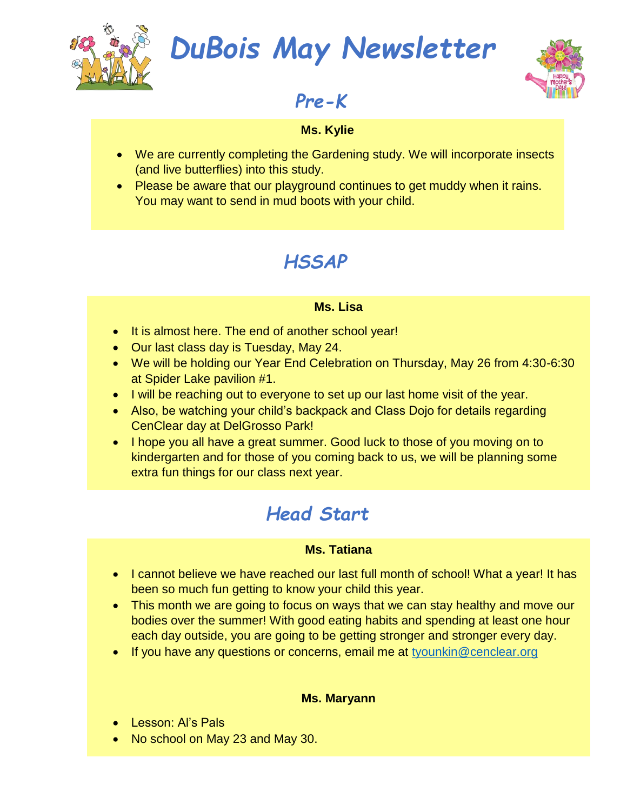

## *DuBois May Newsletter*



## *Pre-K*

#### **Ms. Kylie**

- We are currently completing the Gardening study. We will incorporate insects (and live butterflies) into this study.
- Please be aware that our playground continues to get muddy when it rains. You may want to send in mud boots with your child.

## *HSSAP*

#### **Ms. Lisa**

- It is almost here. The end of another school year!
- Our last class day is Tuesday, May 24.
- We will be holding our Year End Celebration on Thursday, May 26 from 4:30-6:30 at Spider Lake pavilion #1.
- I will be reaching out to everyone to set up our last home visit of the year.
- Also, be watching your child's backpack and Class Dojo for details regarding CenClear day at DelGrosso Park!
- I hope you all have a great summer. Good luck to those of you moving on to kindergarten and for those of you coming back to us, we will be planning some extra fun things for our class next year.

## *Head Start*

#### **Ms. Tatiana**

- I cannot believe we have reached our last full month of school! What a year! It has been so much fun getting to know your child this year.
- This month we are going to focus on ways that we can stay healthy and move our bodies over the summer! With good eating habits and spending at least one hour each day outside, you are going to be getting stronger and stronger every day.
- If you have any questions or concerns, email me at [tyounkin@cenclear.org](mailto:tyounkin@cenclear.org)

#### **Ms. Maryann**

- Lesson: Al's Pals
- No school on May 23 and May 30.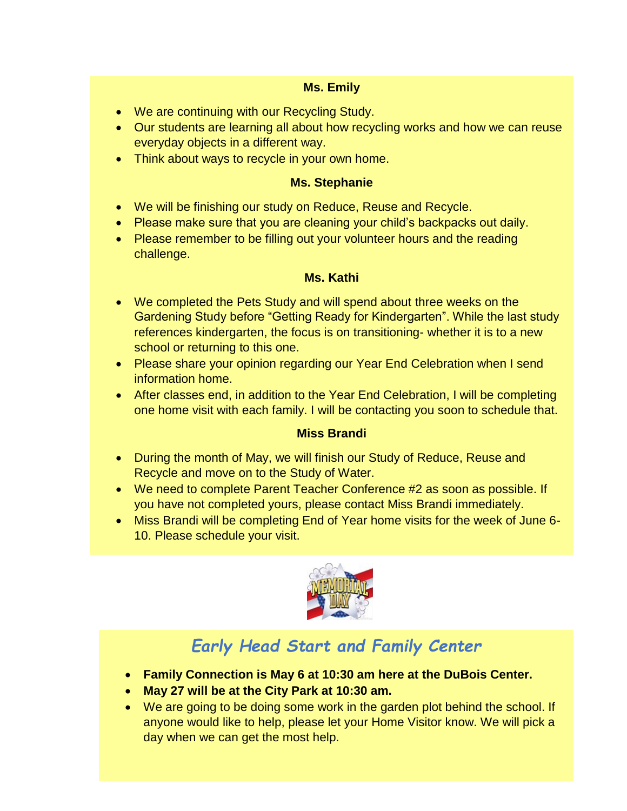#### **Ms. Emily**

- We are continuing with our Recycling Study.
- Our students are learning all about how recycling works and how we can reuse everyday objects in a different way.
- Think about ways to recycle in your own home.

#### **Ms. Stephanie**

- We will be finishing our study on Reduce, Reuse and Recycle.
- Please make sure that you are cleaning your child's backpacks out daily.
- Please remember to be filling out your volunteer hours and the reading challenge.

#### **Ms. Kathi**

- We completed the Pets Study and will spend about three weeks on the Gardening Study before "Getting Ready for Kindergarten". While the last study references kindergarten, the focus is on transitioning- whether it is to a new school or returning to this one.
- Please share your opinion regarding our Year End Celebration when I send information home.
- After classes end, in addition to the Year End Celebration, I will be completing one home visit with each family. I will be contacting you soon to schedule that.

#### **Miss Brandi**

- During the month of May, we will finish our Study of Reduce, Reuse and Recycle and move on to the Study of Water.
- We need to complete Parent Teacher Conference #2 as soon as possible. If you have not completed yours, please contact Miss Brandi immediately.
- Miss Brandi will be completing End of Year home visits for the week of June 6- 10. Please schedule your visit.



## *Early Head Start and Family Center*

- **Family Connection is May 6 at 10:30 am here at the DuBois Center.**
- **May 27 will be at the City Park at 10:30 am.**
- We are going to be doing some work in the garden plot behind the school. If anyone would like to help, please let your Home Visitor know. We will pick a day when we can get the most help.